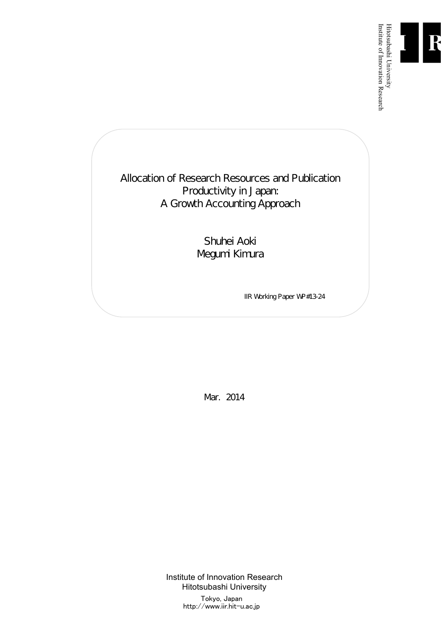

Institute of Innovation Research

Allocation of Research Resources and Publication Productivity in Japan: A Growth Accounting Approach

> Shuhei Aoki Megumi Kimura

> > IIR Working Paper WP#13-24

Mar. 2014

Institute of Innovation Research Hitotsubashi University Tokyo, Japan http://www.iir.hit-u.ac.jp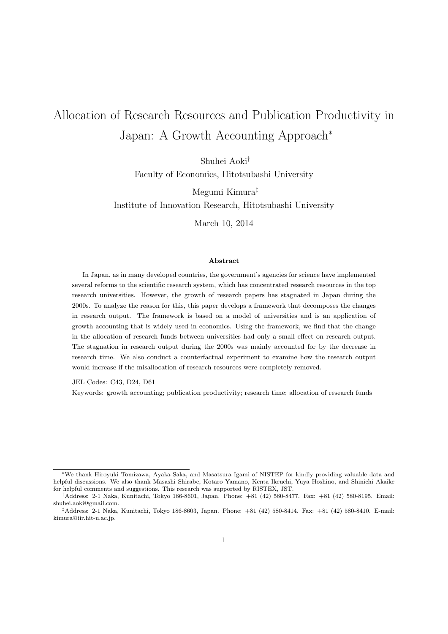# Allocation of Research Resources and Publication Productivity in Japan: A Growth Accounting Approach*<sup>∗</sup>*

Shuhei Aoki*†*

Faculty of Economics, Hitotsubashi University

Megumi Kimura*‡*

Institute of Innovation Research, Hitotsubashi University

March 10, 2014

#### **Abstract**

In Japan, as in many developed countries, the government's agencies for science have implemented several reforms to the scientific research system, which has concentrated research resources in the top research universities. However, the growth of research papers has stagnated in Japan during the 2000s. To analyze the reason for this, this paper develops a framework that decomposes the changes in research output. The framework is based on a model of universities and is an application of growth accounting that is widely used in economics. Using the framework, we find that the change in the allocation of research funds between universities had only a small effect on research output. The stagnation in research output during the 2000s was mainly accounted for by the decrease in research time. We also conduct a counterfactual experiment to examine how the research output would increase if the misallocation of research resources were completely removed.

JEL Codes: C43, D24, D61

Keywords: growth accounting; publication productivity; research time; allocation of research funds

*<sup>∗</sup>*We thank Hiroyuki Tomizawa, Ayaka Saka, and Masatsura Igami of NISTEP for kindly providing valuable data and helpful discussions. We also thank Masashi Shirabe, Kotaro Yamano, Kenta Ikeuchi, Yuya Hoshino, and Shinichi Akaike for helpful comments and suggestions. This research was supported by RISTEX, JST.

*<sup>†</sup>*Address: 2-1 Naka, Kunitachi, Tokyo 186-8601, Japan. Phone: +81 (42) 580-8477. Fax: +81 (42) 580-8195. Email: shuhei.aoki@gmail.com.

*<sup>‡</sup>*Address: 2-1 Naka, Kunitachi, Tokyo 186-8603, Japan. Phone: +81 (42) 580-8414. Fax: +81 (42) 580-8410. E-mail: kimura@iir.hit-u.ac.jp.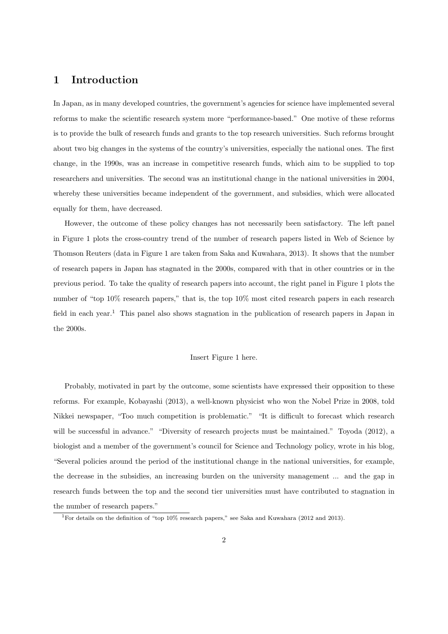# **1 Introduction**

In Japan, as in many developed countries, the government's agencies for science have implemented several reforms to make the scientific research system more "performance-based." One motive of these reforms is to provide the bulk of research funds and grants to the top research universities. Such reforms brought about two big changes in the systems of the country's universities, especially the national ones. The first change, in the 1990s, was an increase in competitive research funds, which aim to be supplied to top researchers and universities. The second was an institutional change in the national universities in 2004, whereby these universities became independent of the government, and subsidies, which were allocated equally for them, have decreased.

However, the outcome of these policy changes has not necessarily been satisfactory. The left panel in Figure 1 plots the cross-country trend of the number of research papers listed in Web of Science by Thomson Reuters (data in Figure 1 are taken from Saka and Kuwahara, 2013). It shows that the number of research papers in Japan has stagnated in the 2000s, compared with that in other countries or in the previous period. To take the quality of research papers into account, the right panel in Figure 1 plots the number of "top 10% research papers," that is, the top 10% most cited research papers in each research field in each year.<sup>1</sup> This panel also shows stagnation in the publication of research papers in Japan in the 2000s.

#### Insert Figure 1 here.

Probably, motivated in part by the outcome, some scientists have expressed their opposition to these reforms. For example, Kobayashi (2013), a well-known physicist who won the Nobel Prize in 2008, told Nikkei newspaper, "Too much competition is problematic." "It is difficult to forecast which research will be successful in advance." "Diversity of research projects must be maintained." Toyoda (2012), a biologist and a member of the government's council for Science and Technology policy, wrote in his blog, "Several policies around the period of the institutional change in the national universities, for example, the decrease in the subsidies, an increasing burden on the university management ... and the gap in research funds between the top and the second tier universities must have contributed to stagnation in the number of research papers."

<sup>1</sup>For details on the definition of "top 10% research papers," see Saka and Kuwahara (2012 and 2013).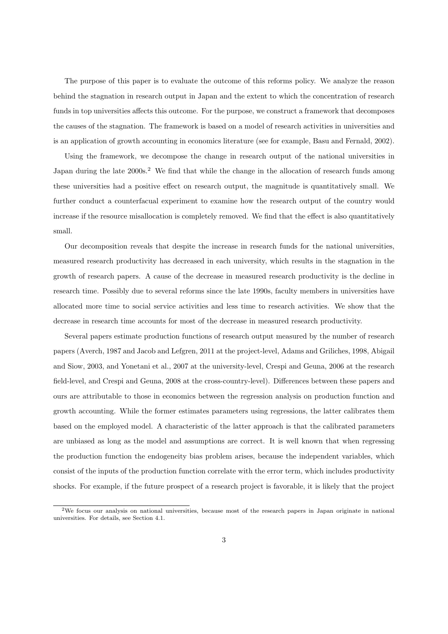The purpose of this paper is to evaluate the outcome of this reforms policy. We analyze the reason behind the stagnation in research output in Japan and the extent to which the concentration of research funds in top universities affects this outcome. For the purpose, we construct a framework that decomposes the causes of the stagnation. The framework is based on a model of research activities in universities and is an application of growth accounting in economics literature (see for example, Basu and Fernald, 2002).

Using the framework, we decompose the change in research output of the national universities in Japan during the late 2000s.<sup>2</sup> We find that while the change in the allocation of research funds among these universities had a positive effect on research output, the magnitude is quantitatively small. We further conduct a counterfacual experiment to examine how the research output of the country would increase if the resource misallocation is completely removed. We find that the effect is also quantitatively small.

Our decomposition reveals that despite the increase in research funds for the national universities, measured research productivity has decreased in each university, which results in the stagnation in the growth of research papers. A cause of the decrease in measured research productivity is the decline in research time. Possibly due to several reforms since the late 1990s, faculty members in universities have allocated more time to social service activities and less time to research activities. We show that the decrease in research time accounts for most of the decrease in measured research productivity.

Several papers estimate production functions of research output measured by the number of research papers (Averch, 1987 and Jacob and Lefgren, 2011 at the project-level, Adams and Griliches, 1998, Abigail and Siow, 2003, and Yonetani et al., 2007 at the university-level, Crespi and Geuna, 2006 at the research field-level, and Crespi and Geuna, 2008 at the cross-country-level). Differences between these papers and ours are attributable to those in economics between the regression analysis on production function and growth accounting. While the former estimates parameters using regressions, the latter calibrates them based on the employed model. A characteristic of the latter approach is that the calibrated parameters are unbiased as long as the model and assumptions are correct. It is well known that when regressing the production function the endogeneity bias problem arises, because the independent variables, which consist of the inputs of the production function correlate with the error term, which includes productivity shocks. For example, if the future prospect of a research project is favorable, it is likely that the project

<sup>2</sup>We focus our analysis on national universities, because most of the research papers in Japan originate in national universities. For details, see Section 4.1.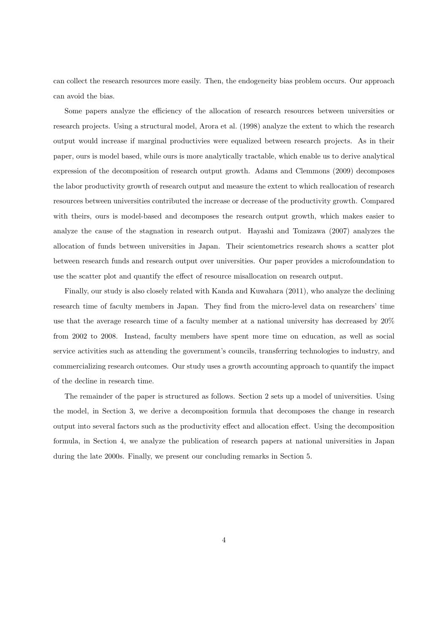can collect the research resources more easily. Then, the endogeneity bias problem occurs. Our approach can avoid the bias.

Some papers analyze the efficiency of the allocation of research resources between universities or research projects. Using a structural model, Arora et al. (1998) analyze the extent to which the research output would increase if marginal productivies were equalized between research projects. As in their paper, ours is model based, while ours is more analytically tractable, which enable us to derive analytical expression of the decomposition of research output growth. Adams and Clemmons (2009) decomposes the labor productivity growth of research output and measure the extent to which reallocation of research resources between universities contributed the increase or decrease of the productivity growth. Compared with theirs, ours is model-based and decomposes the research output growth, which makes easier to analyze the cause of the stagnation in research output. Hayashi and Tomizawa (2007) analyzes the allocation of funds between universities in Japan. Their scientometrics research shows a scatter plot between research funds and research output over universities. Our paper provides a microfoundation to use the scatter plot and quantify the effect of resource misallocation on research output.

Finally, our study is also closely related with Kanda and Kuwahara (2011), who analyze the declining research time of faculty members in Japan. They find from the micro-level data on researchers' time use that the average research time of a faculty member at a national university has decreased by 20% from 2002 to 2008. Instead, faculty members have spent more time on education, as well as social service activities such as attending the government's councils, transferring technologies to industry, and commercializing research outcomes. Our study uses a growth accounting approach to quantify the impact of the decline in research time.

The remainder of the paper is structured as follows. Section 2 sets up a model of universities. Using the model, in Section 3, we derive a decomposition formula that decomposes the change in research output into several factors such as the productivity effect and allocation effect. Using the decomposition formula, in Section 4, we analyze the publication of research papers at national universities in Japan during the late 2000s. Finally, we present our concluding remarks in Section 5.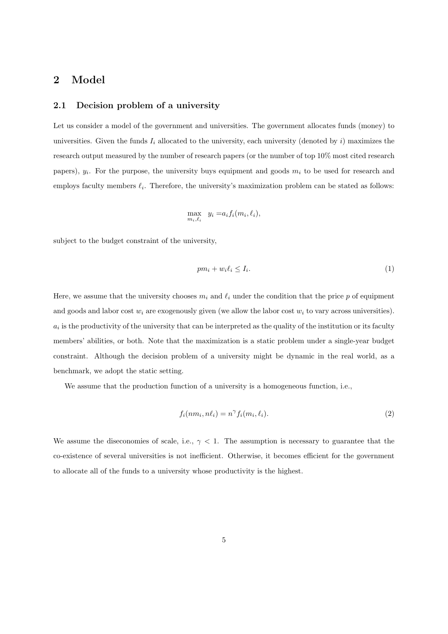# **2 Model**

#### **2.1 Decision problem of a university**

Let us consider a model of the government and universities. The government allocates funds (money) to universities. Given the funds  $I_i$  allocated to the university, each university (denoted by  $i$ ) maximizes the research output measured by the number of research papers (or the number of top 10% most cited research papers),  $y_i$ . For the purpose, the university buys equipment and goods  $m_i$  to be used for research and employs faculty members *ℓ<sup>i</sup>* . Therefore, the university's maximization problem can be stated as follows:

$$
\max_{m_i, \ell_i} \quad y_i = a_i f_i(m_i, \ell_i),
$$

subject to the budget constraint of the university,

$$
pm_i + w_i \ell_i \le I_i. \tag{1}
$$

Here, we assume that the university chooses  $m_i$  and  $\ell_i$  under the condition that the price  $p$  of equipment and goods and labor cost  $w_i$  are exogenously given (we allow the labor cost  $w_i$  to vary across universities).  $a_i$  is the productivity of the university that can be interpreted as the quality of the institution or its faculty members' abilities, or both. Note that the maximization is a static problem under a single-year budget constraint. Although the decision problem of a university might be dynamic in the real world, as a benchmark, we adopt the static setting.

We assume that the production function of a university is a homogeneous function, i.e.,

$$
f_i(nm_i, n\ell_i) = n^{\gamma} f_i(m_i, \ell_i). \tag{2}
$$

We assume the diseconomies of scale, i.e.,  $\gamma$  < 1. The assumption is necessary to guarantee that the co-existence of several universities is not inefficient. Otherwise, it becomes efficient for the government to allocate all of the funds to a university whose productivity is the highest.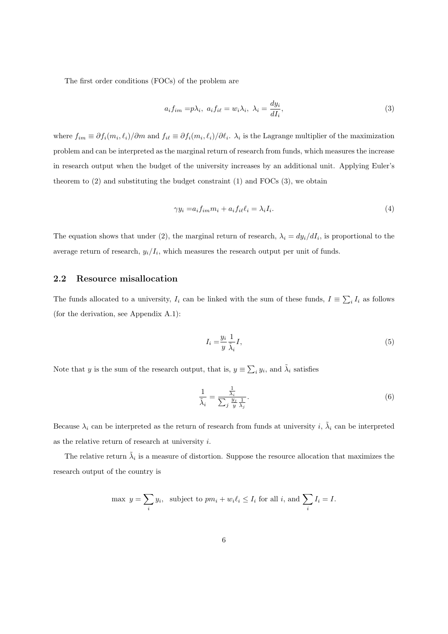The first order conditions (FOCs) of the problem are

$$
a_i f_{im} = p\lambda_i, \ a_i f_{i\ell} = w_i \lambda_i, \ \lambda_i = \frac{dy_i}{dI_i}, \tag{3}
$$

where  $f_{im} \equiv \partial f_i(m_i, \ell_i)/\partial m$  and  $f_{i\ell} \equiv \partial f_i(m_i, \ell_i)/\partial \ell_i$ .  $\lambda_i$  is the Lagrange multiplier of the maximization problem and can be interpreted as the marginal return of research from funds, which measures the increase in research output when the budget of the university increases by an additional unit. Applying Euler's theorem to  $(2)$  and substituting the budget constraint  $(1)$  and FOCs  $(3)$ , we obtain

$$
\gamma y_i = a_i f_{im} m_i + a_i f_{i\ell} \ell_i = \lambda_i I_i. \tag{4}
$$

The equation shows that under (2), the marginal return of research,  $\lambda_i = dy_i/dI_i$ , is proportional to the average return of research,  $y_i/I_i$ , which measures the research output per unit of funds.

### **2.2 Resource misallocation**

The funds allocated to a university,  $I_i$  can be linked with the sum of these funds,  $I = \sum_i I_i$  as follows (for the derivation, see Appendix A.1):

$$
I_i = \frac{y_i}{y} \frac{1}{\tilde{\lambda}_i} I,\tag{5}
$$

Note that *y* is the sum of the research output, that is,  $y \equiv \sum_i y_i$ , and  $\tilde{\lambda}_i$  satisfies

$$
\frac{1}{\tilde{\lambda}_i} = \frac{\frac{1}{\lambda_i}}{\sum_j \frac{y_j}{y} \frac{1}{\lambda_j}}.\tag{6}
$$

Because  $\lambda_i$  can be interpreted as the return of research from funds at university *i*,  $\tilde{\lambda}_i$  can be interpreted as the relative return of research at university *i*.

The relative return  $\tilde{\lambda}_i$  is a measure of distortion. Suppose the resource allocation that maximizes the research output of the country is

$$
\max y = \sum_{i} y_i, \text{ subject to } pm_i + w_i \ell_i \le I_i \text{ for all } i, \text{ and } \sum_{i} I_i = I.
$$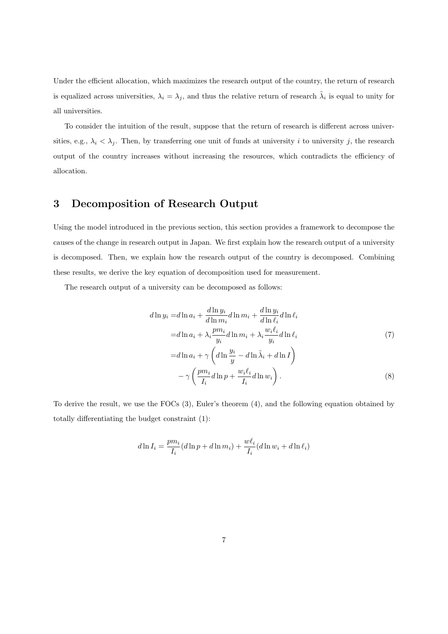Under the efficient allocation, which maximizes the research output of the country, the return of research is equalized across universities,  $\lambda_i = \lambda_j$ , and thus the relative return of research  $\tilde{\lambda}_i$  is equal to unity for all universities.

To consider the intuition of the result, suppose that the return of research is different across universities, e.g.,  $\lambda_i < \lambda_j$ . Then, by transferring one unit of funds at university *i* to university *j*, the research output of the country increases without increasing the resources, which contradicts the efficiency of allocation.

# **3 Decomposition of Research Output**

Using the model introduced in the previous section, this section provides a framework to decompose the causes of the change in research output in Japan. We first explain how the research output of a university is decomposed. Then, we explain how the research output of the country is decomposed. Combining these results, we derive the key equation of decomposition used for measurement.

The research output of a university can be decomposed as follows:

$$
d\ln y_i = d\ln a_i + \frac{d\ln y_i}{d\ln m_i} d\ln m_i + \frac{d\ln y_i}{d\ln \ell_i} d\ln \ell_i
$$
  
\n
$$
= d\ln a_i + \lambda_i \frac{pm_i}{y_i} d\ln m_i + \lambda_i \frac{w_i \ell_i}{y_i} d\ln \ell_i
$$
  
\n
$$
= d\ln a_i + \gamma \left( d\ln \frac{y_i}{y} - d\ln \tilde{\lambda}_i + d\ln I \right)
$$
  
\n
$$
- \gamma \left( \frac{pm_i}{I_i} d\ln p + \frac{w_i \ell_i}{I_i} d\ln w_i \right).
$$
 (8)

To derive the result, we use the FOCs (3), Euler's theorem (4), and the following equation obtained by totally differentiating the budget constraint (1):

$$
d\ln I_i = \frac{pm_i}{I_i} (d\ln p + d\ln m_i) + \frac{w\ell_i}{I_i} (d\ln w_i + d\ln \ell_i)
$$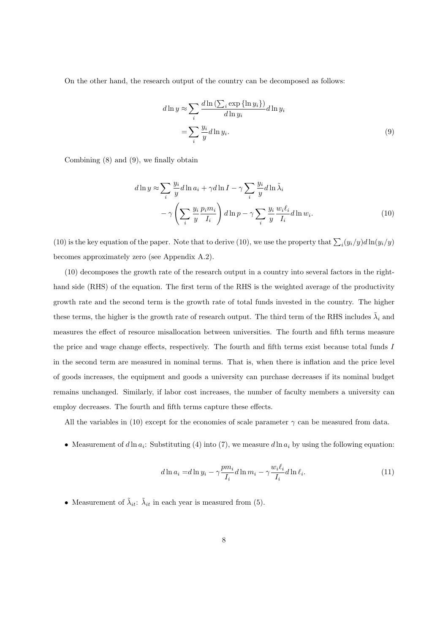On the other hand, the research output of the country can be decomposed as follows:

$$
d \ln y \approx \sum_{i} \frac{d \ln \left( \sum_{i} \exp \{\ln y_{i} \} \right)}{d \ln y_{i}} d \ln y_{i}
$$

$$
= \sum_{i} \frac{y_{i}}{y} d \ln y_{i}.
$$
(9)

Combining (8) and (9), we finally obtain

$$
d\ln y \approx \sum_{i} \frac{y_i}{y} d\ln a_i + \gamma d\ln I - \gamma \sum_{i} \frac{y_i}{y} d\ln \tilde{\lambda}_i
$$

$$
- \gamma \left(\sum_{i} \frac{y_i}{y} \frac{p_i m_i}{I_i}\right) d\ln p - \gamma \sum_{i} \frac{y_i}{y} \frac{w_i \ell_i}{I_i} d\ln w_i.
$$
(10)

(10) is the key equation of the paper. Note that to derive (10), we use the property that  $\sum_i (y_i/y) d\ln(y_i/y)$ becomes approximately zero (see Appendix A.2).

(10) decomposes the growth rate of the research output in a country into several factors in the righthand side (RHS) of the equation. The first term of the RHS is the weighted average of the productivity growth rate and the second term is the growth rate of total funds invested in the country. The higher these terms, the higher is the growth rate of research output. The third term of the RHS includes  $\tilde{\lambda}_i$  and measures the effect of resource misallocation between universities. The fourth and fifth terms measure the price and wage change effects, respectively. The fourth and fifth terms exist because total funds *I* in the second term are measured in nominal terms. That is, when there is inflation and the price level of goods increases, the equipment and goods a university can purchase decreases if its nominal budget remains unchanged. Similarly, if labor cost increases, the number of faculty members a university can employ decreases. The fourth and fifth terms capture these effects.

All the variables in (10) except for the economies of scale parameter  $\gamma$  can be measured from data.

• Measurement of  $d \ln a_i$ : Substituting (4) into (7), we measure  $d \ln a_i$  by using the following equation:

$$
d\ln a_i = d\ln y_i - \gamma \frac{pm_i}{I_i} d\ln m_i - \gamma \frac{w_i \ell_i}{I_i} d\ln \ell_i.
$$
\n(11)

• Measurement of  $\tilde{\lambda}_{it}$ :  $\tilde{\lambda}_{it}$  in each year is measured from (5).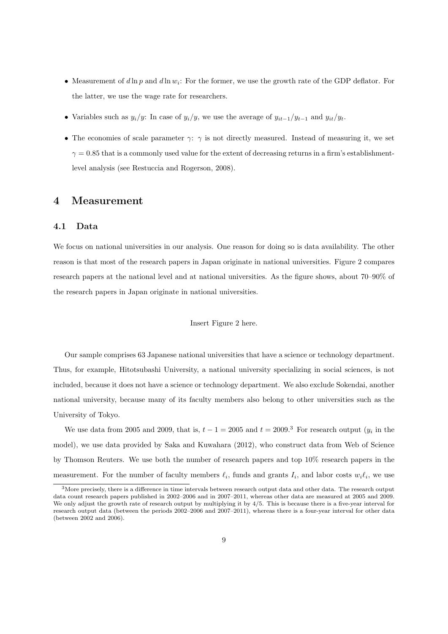- *•* Measurement of *d* ln *p* and *d* ln *w<sup>i</sup>* : For the former, we use the growth rate of the GDP deflator. For the latter, we use the wage rate for researchers.
- Variables such as  $y_i/y$ : In case of  $y_i/y$ , we use the average of  $y_{it-1}/y_{t-1}$  and  $y_{it}/y_t$ .
- The economies of scale parameter *γ*: *γ* is not directly measured. Instead of measuring it, we set  $\gamma = 0.85$  that is a commonly used value for the extent of decreasing returns in a firm's establishmentlevel analysis (see Restuccia and Rogerson, 2008).

## **4 Measurement**

#### **4.1 Data**

We focus on national universities in our analysis. One reason for doing so is data availability. The other reason is that most of the research papers in Japan originate in national universities. Figure 2 compares research papers at the national level and at national universities. As the figure shows, about 70–90% of the research papers in Japan originate in national universities.

#### Insert Figure 2 here.

Our sample comprises 63 Japanese national universities that have a science or technology department. Thus, for example, Hitotsubashi University, a national university specializing in social sciences, is not included, because it does not have a science or technology department. We also exclude Sokendai, another national university, because many of its faculty members also belong to other universities such as the University of Tokyo.

We use data from 2005 and 2009, that is,  $t - 1 = 2005$  and  $t = 2009$ .<sup>3</sup> For research output  $(y_i$  in the model), we use data provided by Saka and Kuwahara (2012), who construct data from Web of Science by Thomson Reuters. We use both the number of research papers and top 10% research papers in the measurement. For the number of faculty members  $\ell_i$ , funds and grants  $I_i$ , and labor costs  $w_i \ell_i$ , we use

<sup>3</sup>More precisely, there is a difference in time intervals between research output data and other data. The research output data count research papers published in 2002–2006 and in 2007–2011, whereas other data are measured at 2005 and 2009. We only adjust the growth rate of research output by multiplying it by 4/5. This is because there is a five-year interval for research output data (between the periods 2002–2006 and 2007–2011), whereas there is a four-year interval for other data (between 2002 and 2006).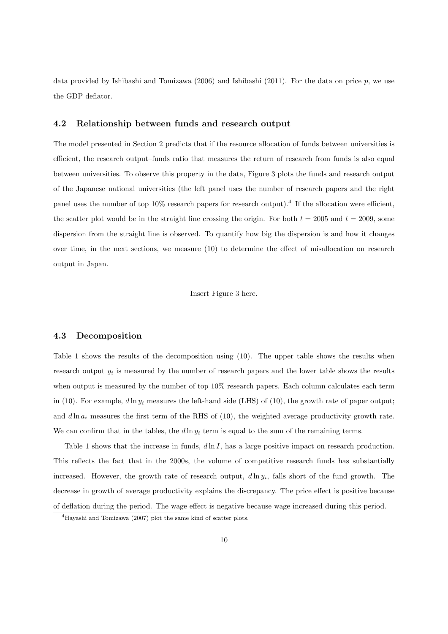data provided by Ishibashi and Tomizawa  $(2006)$  and Ishibashi  $(2011)$ . For the data on price  $p$ , we use the GDP deflator.

#### **4.2 Relationship between funds and research output**

The model presented in Section 2 predicts that if the resource allocation of funds between universities is efficient, the research output–funds ratio that measures the return of research from funds is also equal between universities. To observe this property in the data, Figure 3 plots the funds and research output of the Japanese national universities (the left panel uses the number of research papers and the right panel uses the number of top  $10\%$  research papers for research output).<sup>4</sup> If the allocation were efficient, the scatter plot would be in the straight line crossing the origin. For both  $t = 2005$  and  $t = 2009$ , some dispersion from the straight line is observed. To quantify how big the dispersion is and how it changes over time, in the next sections, we measure (10) to determine the effect of misallocation on research output in Japan.

Insert Figure 3 here.

#### **4.3 Decomposition**

Table 1 shows the results of the decomposition using (10). The upper table shows the results when research output  $y_i$  is measured by the number of research papers and the lower table shows the results when output is measured by the number of top  $10\%$  research papers. Each column calculates each term in (10). For example,  $d \ln y_i$  measures the left-hand side (LHS) of (10), the growth rate of paper output; and  $d \ln a_i$  measures the first term of the RHS of (10), the weighted average productivity growth rate. We can confirm that in the tables, the  $d\ln y_i$  term is equal to the sum of the remaining terms.

Table 1 shows that the increase in funds, *d* ln *I*, has a large positive impact on research production. This reflects the fact that in the 2000s, the volume of competitive research funds has substantially increased. However, the growth rate of research output, *d* ln *y<sup>i</sup>* , falls short of the fund growth. The decrease in growth of average productivity explains the discrepancy. The price effect is positive because of deflation during the period. The wage effect is negative because wage increased during this period.

<sup>4</sup>Hayashi and Tomizawa (2007) plot the same kind of scatter plots.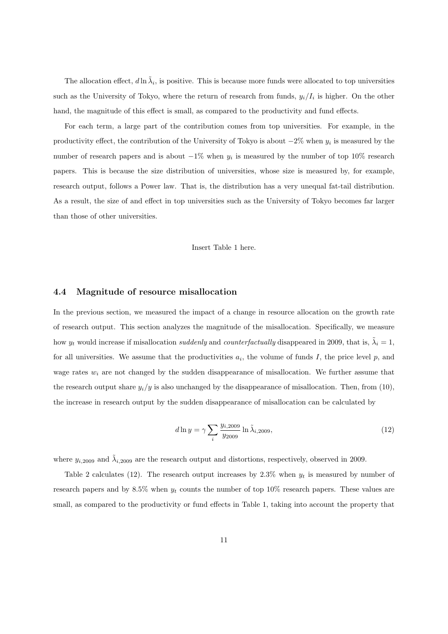The allocation effect,  $d \ln \tilde{\lambda}_i$ , is positive. This is because more funds were allocated to top universities such as the University of Tokyo, where the return of research from funds,  $y_i/I_i$  is higher. On the other hand, the magnitude of this effect is small, as compared to the productivity and fund effects.

For each term, a large part of the contribution comes from top universities. For example, in the productivity effect, the contribution of the University of Tokyo is about *−*2% when *y<sup>i</sup>* is measured by the number of research papers and is about *−*1% when *y<sup>i</sup>* is measured by the number of top 10% research papers. This is because the size distribution of universities, whose size is measured by, for example, research output, follows a Power law. That is, the distribution has a very unequal fat-tail distribution. As a result, the size of and effect in top universities such as the University of Tokyo becomes far larger than those of other universities.

Insert Table 1 here.

#### **4.4 Magnitude of resource misallocation**

In the previous section, we measured the impact of a change in resource allocation on the growth rate of research output. This section analyzes the magnitude of the misallocation. Specifically, we measure how  $y_t$  would increase if misallocation *suddenly* and *counterfactually* disappeared in 2009, that is,  $\tilde{\lambda}_i = 1$ , for all universities. We assume that the productivities  $a_i$ , the volume of funds  $I$ , the price level  $p$ , and wage rates  $w_i$  are not changed by the sudden disappearance of misallocation. We further assume that the research output share  $y_i/y$  is also unchanged by the disappearance of misallocation. Then, from (10), the increase in research output by the sudden disappearance of misallocation can be calculated by

$$
d\ln y = \gamma \sum_{i} \frac{y_{i,2009}}{y_{2009}} \ln \tilde{\lambda}_{i,2009},\tag{12}
$$

where  $y_{i,2009}$  and  $\tilde{\lambda}_{i,2009}$  are the research output and distortions, respectively, observed in 2009.

Table 2 calculates (12). The research output increases by  $2.3\%$  when  $y_t$  is measured by number of research papers and by  $8.5\%$  when  $y_t$  counts the number of top 10% research papers. These values are small, as compared to the productivity or fund effects in Table 1, taking into account the property that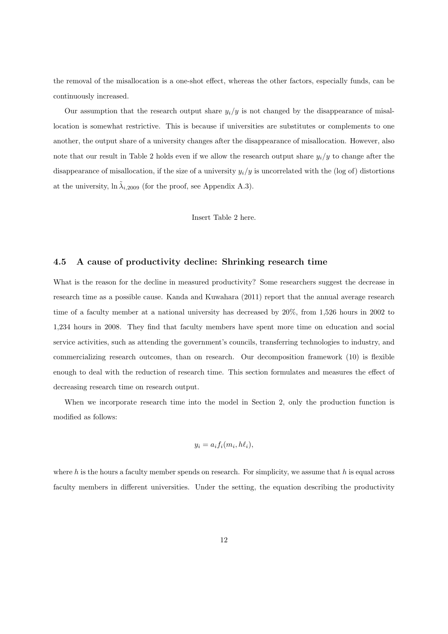the removal of the misallocation is a one-shot effect, whereas the other factors, especially funds, can be continuously increased.

Our assumption that the research output share  $y_i/y$  is not changed by the disappearance of misallocation is somewhat restrictive. This is because if universities are substitutes or complements to one another, the output share of a university changes after the disappearance of misallocation. However, also note that our result in Table 2 holds even if we allow the research output share *yi/y* to change after the disappearance of misallocation, if the size of a university  $y_i/y$  is uncorrelated with the (log of) distortions at the university,  $\ln \tilde{\lambda}_{i,2009}$  (for the proof, see Appendix A.3).

Insert Table 2 here.

## **4.5 A cause of productivity decline: Shrinking research time**

What is the reason for the decline in measured productivity? Some researchers suggest the decrease in research time as a possible cause. Kanda and Kuwahara (2011) report that the annual average research time of a faculty member at a national university has decreased by 20%, from 1,526 hours in 2002 to 1,234 hours in 2008. They find that faculty members have spent more time on education and social service activities, such as attending the government's councils, transferring technologies to industry, and commercializing research outcomes, than on research. Our decomposition framework (10) is flexible enough to deal with the reduction of research time. This section formulates and measures the effect of decreasing research time on research output.

When we incorporate research time into the model in Section 2, only the production function is modified as follows:

$$
y_i = a_i f_i(m_i, h\ell_i),
$$

where *h* is the hours a faculty member spends on research. For simplicity, we assume that *h* is equal across faculty members in different universities. Under the setting, the equation describing the productivity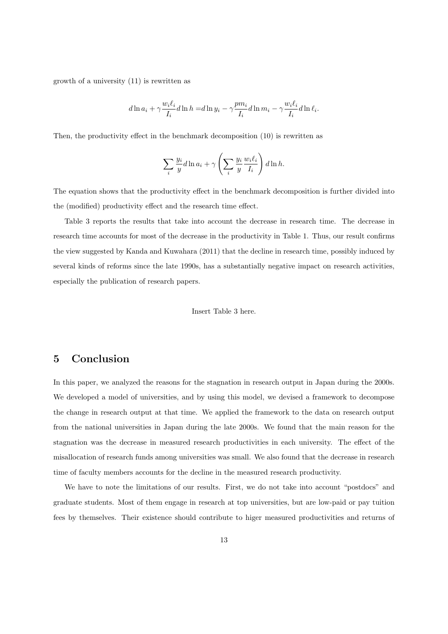growth of a university (11) is rewritten as

$$
d\ln a_i + \gamma \frac{w_i \ell_i}{I_i} d\ln h = d\ln y_i - \gamma \frac{pm_i}{I_i} d\ln m_i - \gamma \frac{w_i \ell_i}{I_i} d\ln \ell_i.
$$

Then, the productivity effect in the benchmark decomposition (10) is rewritten as

$$
\sum_{i} \frac{y_i}{y} d\ln a_i + \gamma \left(\sum_i \frac{y_i}{y} \frac{w_i \ell_i}{I_i}\right) d\ln h.
$$

The equation shows that the productivity effect in the benchmark decomposition is further divided into the (modified) productivity effect and the research time effect.

Table 3 reports the results that take into account the decrease in research time. The decrease in research time accounts for most of the decrease in the productivity in Table 1. Thus, our result confirms the view suggested by Kanda and Kuwahara (2011) that the decline in research time, possibly induced by several kinds of reforms since the late 1990s, has a substantially negative impact on research activities, especially the publication of research papers.

#### Insert Table 3 here.

# **5 Conclusion**

In this paper, we analyzed the reasons for the stagnation in research output in Japan during the 2000s. We developed a model of universities, and by using this model, we devised a framework to decompose the change in research output at that time. We applied the framework to the data on research output from the national universities in Japan during the late 2000s. We found that the main reason for the stagnation was the decrease in measured research productivities in each university. The effect of the misallocation of research funds among universities was small. We also found that the decrease in research time of faculty members accounts for the decline in the measured research productivity.

We have to note the limitations of our results. First, we do not take into account "postdocs" and graduate students. Most of them engage in research at top universities, but are low-paid or pay tuition fees by themselves. Their existence should contribute to higer measured productivities and returns of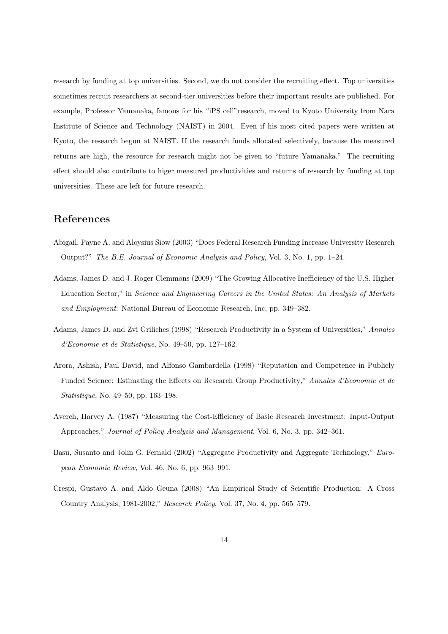research by funding at top universities. Second, we do not consider the recruiting effect. Top universities sometimes recruit researchers at second-tier universities before their important results are published. For example, Professor Yamanaka, famous for his "iPS cell"research, moved to Kyoto University from Nara Institute of Science and Technology (NAIST) in 2004. Even if his most cited papers were written at Kyoto, the research begun at NAIST. If the research funds allocated selectively, because the measured returns are high, the resource for research might not be given to "future Yamanaka." The recruiting effect should also contribute to higer measured productivities and returns of research by funding at top universities. These are left for future research.

# **References**

- Abigail, Payne A. and Aloysius Siow (2003) "Does Federal Research Funding Increase University Research Output?" *The B.E. Journal of Economic Analysis and Policy*, Vol. 3, No. 1, pp. 1–24.
- Adams, James D. and J. Roger Clemmons (2009) "The Growing Allocative Inefficiency of the U.S. Higher Education Sector," in *Science and Engineering Careers in the United States: An Analysis of Markets and Employment*: National Bureau of Economic Research, Inc, pp. 349–382.
- Adams, James D. and Zvi Griliches (1998) "Research Productivity in a System of Universities," *Annales d'Economie et de Statistique*, No. 49–50, pp. 127–162.
- Arora, Ashish, Paul David, and Alfonso Gambardella (1998) "Reputation and Competence in Publicly Funded Science: Estimating the Effects on Research Group Productivity," *Annales d'Economie et de Statistique*, No. 49–50, pp. 163–198.
- Averch, Harvey A. (1987) "Measuring the Cost-Efficiency of Basic Research Investment: Input-Output Approaches," *Journal of Policy Analysis and Management*, Vol. 6, No. 3, pp. 342–361.
- Basu, Susanto and John G. Fernald (2002) "Aggregate Productivity and Aggregate Technology," *European Economic Review*, Vol. 46, No. 6, pp. 963–991.
- Crespi, Gustavo A. and Aldo Geuna (2008) "An Empirical Study of Scientific Production: A Cross Country Analysis, 1981-2002," *Research Policy*, Vol. 37, No. 4, pp. 565–579.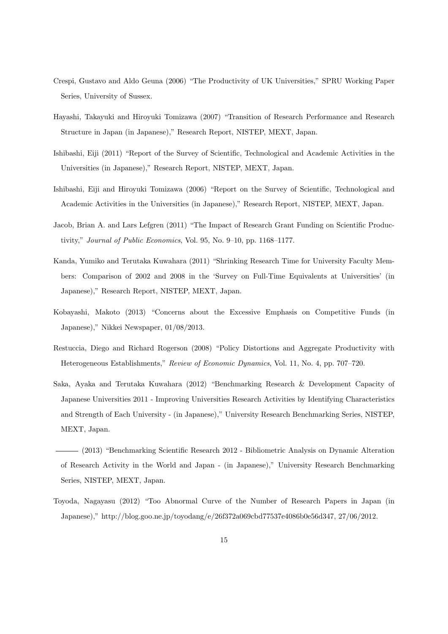- Crespi, Gustavo and Aldo Geuna (2006) "The Productivity of UK Universities," SPRU Working Paper Series, University of Sussex.
- Hayashi, Takayuki and Hiroyuki Tomizawa (2007) "Transition of Research Performance and Research Structure in Japan (in Japanese)," Research Report, NISTEP, MEXT, Japan.
- Ishibashi, Eiji (2011) "Report of the Survey of Scientific, Technological and Academic Activities in the Universities (in Japanese)," Research Report, NISTEP, MEXT, Japan.
- Ishibashi, Eiji and Hiroyuki Tomizawa (2006) "Report on the Survey of Scientific, Technological and Academic Activities in the Universities (in Japanese)," Research Report, NISTEP, MEXT, Japan.
- Jacob, Brian A. and Lars Lefgren (2011) "The Impact of Research Grant Funding on Scientific Productivity," *Journal of Public Economics*, Vol. 95, No. 9–10, pp. 1168–1177.
- Kanda, Yumiko and Terutaka Kuwahara (2011) "Shrinking Research Time for University Faculty Members: Comparison of 2002 and 2008 in the 'Survey on Full-Time Equivalents at Universities' (in Japanese)," Research Report, NISTEP, MEXT, Japan.
- Kobayashi, Makoto (2013) "Concerns about the Excessive Emphasis on Competitive Funds (in Japanese)," Nikkei Newspaper, 01/08/2013.
- Restuccia, Diego and Richard Rogerson (2008) "Policy Distortions and Aggregate Productivity with Heterogeneous Establishments," *Review of Economic Dynamics*, Vol. 11, No. 4, pp. 707–720.
- Saka, Ayaka and Terutaka Kuwahara (2012) "Benchmarking Research & Development Capacity of Japanese Universities 2011 - Improving Universities Research Activities by Identifying Characteristics and Strength of Each University - (in Japanese)," University Research Benchmarking Series, NISTEP, MEXT, Japan.
- (2013) "Benchmarking Scientific Research 2012 Bibliometric Analysis on Dynamic Alteration of Research Activity in the World and Japan - (in Japanese)," University Research Benchmarking Series, NISTEP, MEXT, Japan.
- Toyoda, Nagayasu (2012) "Too Abnormal Curve of the Number of Research Papers in Japan (in Japanese)," http://blog.goo.ne.jp/toyodang/e/26f372a069cbd77537e4086b0e56d347, 27/06/2012.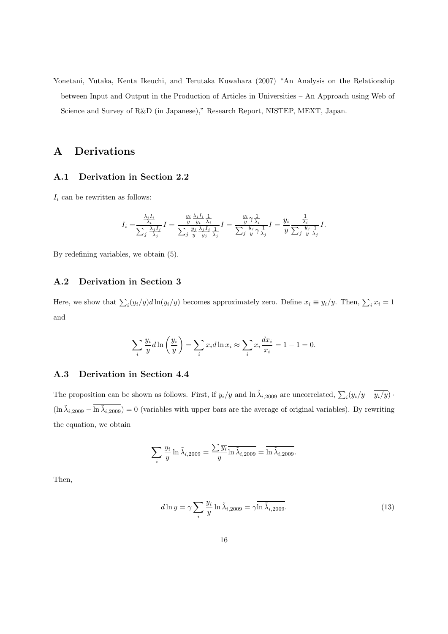Yonetani, Yutaka, Kenta Ikeuchi, and Terutaka Kuwahara (2007) "An Analysis on the Relationship between Input and Output in the Production of Articles in Universities – An Approach using Web of Science and Survey of R&D (in Japanese)," Research Report, NISTEP, MEXT, Japan.

# **A Derivations**

## **A.1 Derivation in Section 2.2**

 $I_i$  can be rewritten as follows:

$$
I_i = \frac{\frac{\lambda_i I_i}{\lambda_i}}{\sum_j \frac{\lambda_j I_j}{\lambda_j}} I = \frac{\frac{y_i}{y} \frac{\lambda_i I_i}{y_i} \frac{1}{\lambda_i}}{\sum_j \frac{y_j}{y} \frac{\lambda_j I_j}{y_j} \frac{1}{\lambda_j}} I = \frac{\frac{y_i}{y} \gamma \frac{1}{\lambda_i}}{\sum_j \frac{y_j}{y} \gamma \frac{1}{\lambda_j}} I = \frac{y_i}{y} \frac{\frac{1}{\lambda_i}}{\sum_j \frac{y_j}{y} \frac{1}{\lambda_j}} I.
$$

By redefining variables, we obtain (5).

## **A.2 Derivation in Section 3**

Here, we show that  $\sum_i (y_i/y) d \ln(y_i/y)$  becomes approximately zero. Define  $x_i \equiv y_i/y$ . Then,  $\sum_i x_i = 1$ and

$$
\sum_{i} \frac{y_i}{y} d\ln\left(\frac{y_i}{y}\right) = \sum_{i} x_i d\ln x_i \approx \sum_{i} x_i \frac{dx_i}{x_i} = 1 - 1 = 0.
$$

## **A.3 Derivation in Section 4.4**

The proposition can be shown as follows. First, if  $y_i/y$  and  $\ln \tilde{\lambda}_{i,2009}$  are uncorrelated,  $\sum_i (y_i/y - \overline{y_i/y})$ .  $(\ln \tilde{\lambda}_{i,2009} - \ln \tilde{\lambda}_{i,2009}) = 0$  (variables with upper bars are the average of original variables). By rewriting the equation, we obtain

$$
\sum_{i} \frac{y_i}{y} \ln \tilde{\lambda}_{i,2009} = \frac{\sum \overline{y_i}}{y} \overline{\ln \tilde{\lambda}_{i,2009}} = \overline{\ln \tilde{\lambda}_{i,2009}}.
$$

Then,

$$
d\ln y = \gamma \sum_{i} \frac{y_i}{y} \ln \tilde{\lambda}_{i,2009} = \gamma \overline{\ln \tilde{\lambda}_{i,2009}}.
$$
 (13)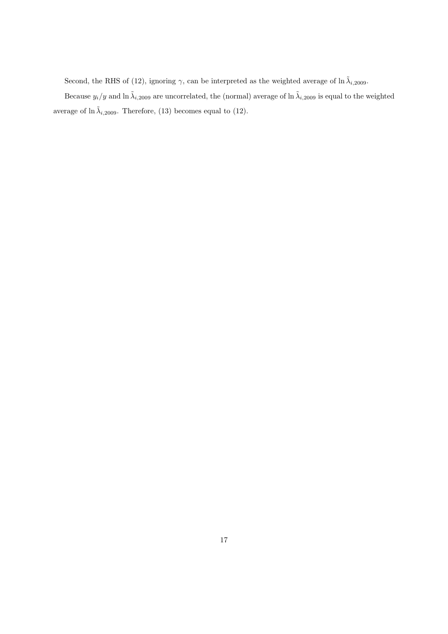Second, the RHS of (12), ignoring  $\gamma$ , can be interpreted as the weighted average of ln  $\tilde{\lambda}_{i,2009}$ .

Because  $y_i/y$  and  $\ln \tilde{\lambda}_{i,2009}$  are uncorrelated, the (normal) average of  $\ln \tilde{\lambda}_{i,2009}$  is equal to the weighted average of  $\ln \tilde{\lambda}_{i,2009}$ . Therefore, (13) becomes equal to (12).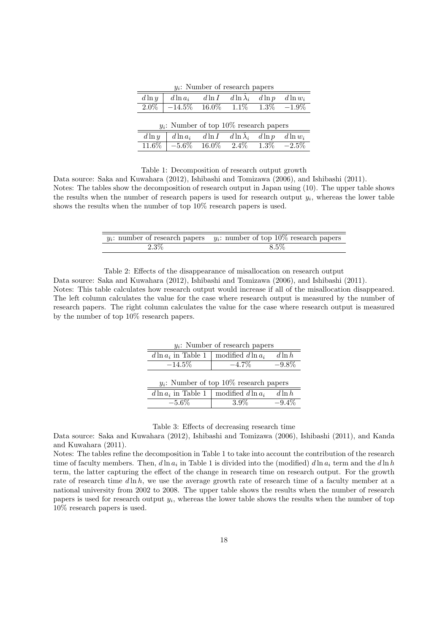| $y_i$ : Number of research papers         |                 |           |                 |           |            |  |  |
|-------------------------------------------|-----------------|-----------|-----------------|-----------|------------|--|--|
| $d\ln y$                                  | $d\ln a_i$      | $d \ln I$ | $d\ln\lambda_i$ | $d \ln p$ | $d\ln w_i$ |  |  |
| $2.0\%$                                   | $-14.5\%$ 16.0% |           | $1.1\%$ $1.3\%$ |           | $-1.9\%$   |  |  |
|                                           |                 |           |                 |           |            |  |  |
| $y_i$ : Number of top 10% research papers |                 |           |                 |           |            |  |  |
| $d\ln y$                                  | $d\ln a_i$      | $d \ln I$ | $d\ln\lambda_i$ | $d\ln p$  | $d\ln w_i$ |  |  |
| $11.6\%$                                  | $-5.6\%$        | $16.0\%$  | $2.4\%$         | $1.3\%$   | $-2.5\%$   |  |  |

Table 1: Decomposition of research output growth

Data source: Saka and Kuwahara (2012), Ishibashi and Tomizawa (2006), and Ishibashi (2011).

Notes: The tables show the decomposition of research output in Japan using (10). The upper table shows the results when the number of research papers is used for research output  $y_i$ , whereas the lower table shows the results when the number of top 10% research papers is used.

|         | $y_i$ : number of research papers $y_i$ : number of top 10% research papers |
|---------|-----------------------------------------------------------------------------|
| $2.3\%$ | 8.5%                                                                        |

Table 2: Effects of the disappearance of misallocation on research output

Data source: Saka and Kuwahara (2012), Ishibashi and Tomizawa (2006), and Ishibashi (2011).

Notes: This table calculates how research output would increase if all of the misallocation disappeared. The left column calculates the value for the case where research output is measured by the number of research papers. The right column calculates the value for the case where research output is measured by the number of top 10% research papers.

| $y_i$ : Number of research papers             |                      |           |  |  |  |  |
|-----------------------------------------------|----------------------|-----------|--|--|--|--|
| $d \ln a_i$ in Table 1                        | modified $d \ln a_i$ | $d \ln h$ |  |  |  |  |
| $-14.5\%$                                     | $-4.7\%$             | $-9.8\%$  |  |  |  |  |
|                                               |                      |           |  |  |  |  |
| $y_i$ : Number of top 10% research papers     |                      |           |  |  |  |  |
| $d \ln a_i$ in Table 1   modified $d \ln a_i$ |                      | $d \ln h$ |  |  |  |  |
| $-5.6\%$                                      | $3.9\%$              | $-9.4\%$  |  |  |  |  |

Table 3: Effects of decreasing research time

Data source: Saka and Kuwahara (2012), Ishibashi and Tomizawa (2006), Ishibashi (2011), and Kanda and Kuwahara (2011).

Notes: The tables refine the decomposition in Table 1 to take into account the contribution of the research time of faculty members. Then,  $d \ln a_i$  in Table 1 is divided into the (modified)  $d \ln a_i$  term and the  $d \ln h$ term, the latter capturing the effect of the change in research time on research output. For the growth rate of research time  $d \ln h$ , we use the average growth rate of research time of a faculty member at a national university from 2002 to 2008. The upper table shows the results when the number of research papers is used for research output  $y_i$ , whereas the lower table shows the results when the number of top 10% research papers is used.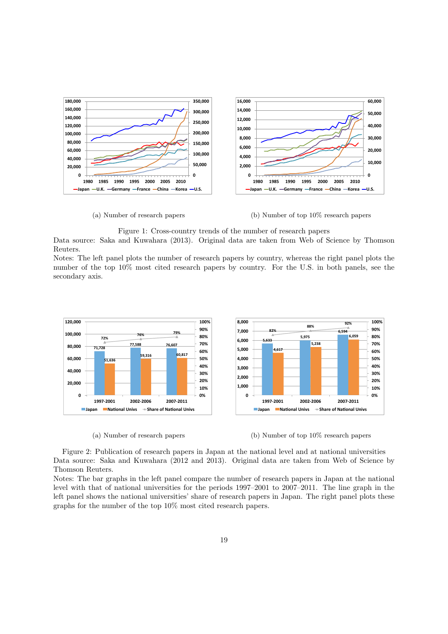

(a) Number of research papers

(b) Number of top 10% research papers

Figure 1: Cross-country trends of the number of research papers

Data source: Saka and Kuwahara (2013). Original data are taken from Web of Science by Thomson Reuters.

Notes: The left panel plots the number of research papers by country, whereas the right panel plots the number of the top 10% most cited research papers by country. For the U.S. in both panels, see the secondary axis.



(a) Number of research papers



Figure 2: Publication of research papers in Japan at the national level and at national universities Data source: Saka and Kuwahara (2012 and 2013). Original data are taken from Web of Science by Thomson Reuters.

Notes: The bar graphs in the left panel compare the number of research papers in Japan at the national level with that of national universities for the periods 1997–2001 to 2007–2011. The line graph in the left panel shows the national universities' share of research papers in Japan. The right panel plots these graphs for the number of the top 10% most cited research papers.